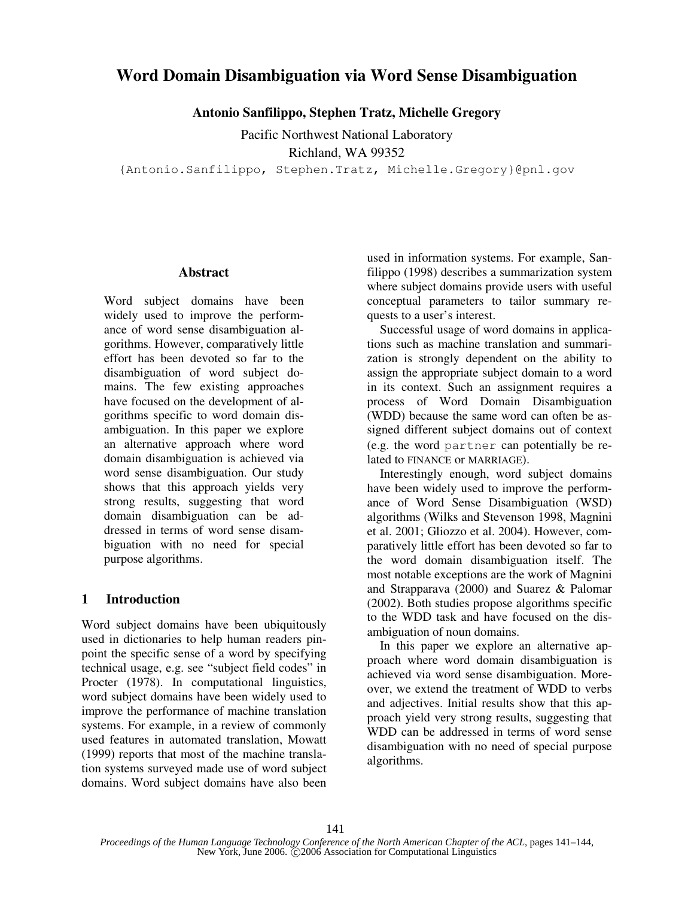# **Word Domain Disambiguation via Word Sense Disambiguation**

**Antonio Sanfilippo, Stephen Tratz, Michelle Gregory**

Pacific Northwest National Laboratory Richland, WA 99352

{Antonio.Sanfilippo, Stephen.Tratz, Michelle.Gregory}@pnl.gov

#### **Abstract**

Word subject domains have been widely used to improve the performance of word sense disambiguation algorithms. However, comparatively little effort has been devoted so far to the disambiguation of word subject domains. The few existing approaches have focused on the development of algorithms specific to word domain disambiguation. In this paper we explore an alternative approach where word domain disambiguation is achieved via word sense disambiguation. Our study shows that this approach yields very strong results, suggesting that word domain disambiguation can be addressed in terms of word sense disambiguation with no need for special purpose algorithms.

## **1 Introduction**

Word subject domains have been ubiquitously used in dictionaries to help human readers pinpoint the specific sense of a word by specifying technical usage, e.g. see "subject field codes" in Procter (1978). In computational linguistics, word subject domains have been widely used to improve the performance of machine translation systems. For example, in a review of commonly used features in automated translation, Mowatt (1999) reports that most of the machine translation systems surveyed made use of word subject domains. Word subject domains have also been

used in information systems. For example, Sanfilippo (1998) describes a summarization system where subject domains provide users with useful conceptual parameters to tailor summary requests to a user's interest.

Successful usage of word domains in applications such as machine translation and summarization is strongly dependent on the ability to assign the appropriate subject domain to a word in its context. Such an assignment requires a process of Word Domain Disambiguation (WDD) because the same word can often be assigned different subject domains out of context (e.g. the word partner can potentially be related to FINANCE or MARRIAGE).

Interestingly enough, word subject domains have been widely used to improve the performance of Word Sense Disambiguation (WSD) algorithms (Wilks and Stevenson 1998, Magnini et al. 2001; Gliozzo et al. 2004). However, comparatively little effort has been devoted so far to the word domain disambiguation itself. The most notable exceptions are the work of Magnini and Strapparava (2000) and Suarez & Palomar (2002). Both studies propose algorithms specific to the WDD task and have focused on the disambiguation of noun domains.

In this paper we explore an alternative approach where word domain disambiguation is achieved via word sense disambiguation. Moreover, we extend the treatment of WDD to verbs and adjectives. Initial results show that this approach yield very strong results, suggesting that WDD can be addressed in terms of word sense disambiguation with no need of special purpose algorithms.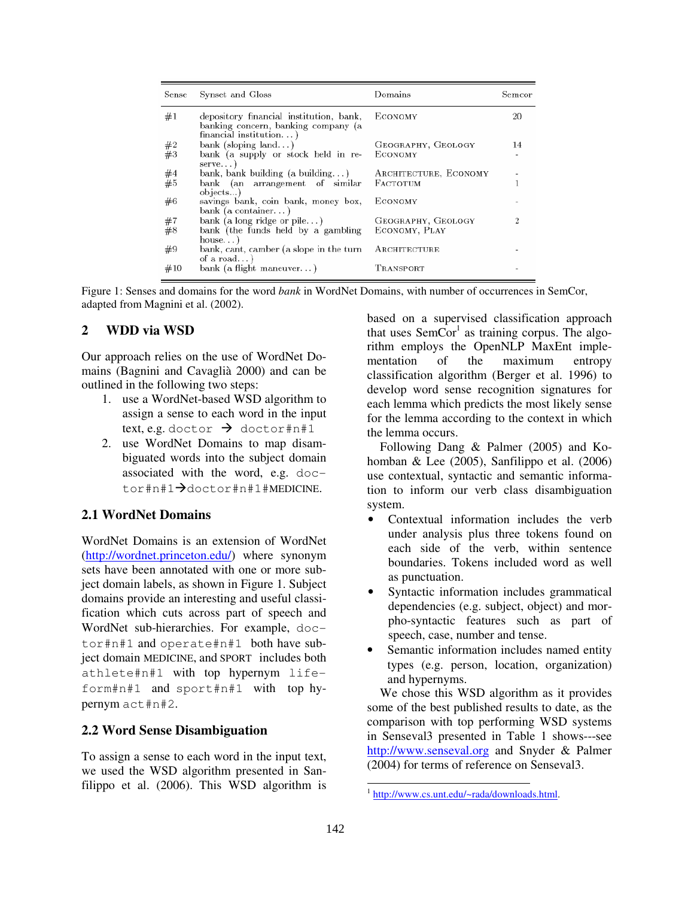| Sense | Synset and Gloss                                                                                            | Domains               | Semcor |
|-------|-------------------------------------------------------------------------------------------------------------|-----------------------|--------|
| #1    | depository financial institution, bank,<br>banking concern, banking company (a<br>$f$ inancial institution) | ECONOMY               | 20     |
| #2    | bank (sloping land)                                                                                         | GEOGRAPHY, GEOLOGY    | 14     |
| #3    | bank (a supply or stock held in re-<br>$s$ erve                                                             | ECONOMY               |        |
| #4    | bank, bank building (a building)                                                                            | ARCHITECTURE, ECONOMY |        |
| #5    | bank (an arrangement of similar<br>objects)                                                                 | FACTOTUM              |        |
| #6    | savings bank, coin bank, money box,<br>bank (a container)                                                   | ECONOMY               |        |
| #7    | bank (a long ridge or pile)                                                                                 | GEOGRAPHY, GEOLOGY    |        |
| #8    | bank (the funds held by a gambling<br>house                                                                 | ECONOMY, PLAY         |        |
| #9    | bank, cant, camber (a slope in the turn<br>of a road $)$                                                    | ARCHITECTURE          |        |
| #10   | bank (a flight maneuver)                                                                                    | TRANSPORT             |        |

Figure 1: Senses and domains for the word *bank* in WordNet Domains, with number of occurrences in SemCor, adapted from Magnini et al. (2002).

## **2 WDD via WSD**

Our approach relies on the use of WordNet Domains (Bagnini and Cavaglià 2000) and can be outlined in the following two steps:

- 1. use a WordNet-based WSD algorithm to assign a sense to each word in the input text, e.g. doctor  $\rightarrow$  doctor#n#1
- 2. use WordNet Domains to map disambiguated words into the subject domain associated with the word, e.g. doctor#n#1<sup>+</sup>doctor#n#1#MEDICINE.

### **2.1 WordNet Domains**

WordNet Domains is an extension of WordNet (http://wordnet.princeton.edu/) where synonym sets have been annotated with one or more subject domain labels, as shown in Figure 1. Subject domains provide an interesting and useful classification which cuts across part of speech and WordNet sub-hierarchies. For example, doctor#n#1 and operate#n#1 both have subject domain MEDICINE, and SPORT includes both athlete#n#1 with top hypernym lifeform#n#1 and sport#n#1 with top hypernym act#n#2.

### **2.2 Word Sense Disambiguation**

To assign a sense to each word in the input text, we used the WSD algorithm presented in Sanfilippo et al. (2006). This WSD algorithm is based on a supervised classification approach that uses  $SemCor<sup>1</sup>$  as training corpus. The algorithm employs the OpenNLP MaxEnt implementation of the maximum entropy classification algorithm (Berger et al. 1996) to develop word sense recognition signatures for each lemma which predicts the most likely sense for the lemma according to the context in which the lemma occurs.

Following Dang & Palmer (2005) and Kohomban & Lee  $(2005)$ , Sanfilippo et al.  $(2006)$ use contextual, syntactic and semantic information to inform our verb class disambiguation system.

- Contextual information includes the verb under analysis plus three tokens found on each side of the verb, within sentence boundaries. Tokens included word as well as punctuation.
- Syntactic information includes grammatical dependencies (e.g. subject, object) and morpho-syntactic features such as part of speech, case, number and tense.
- Semantic information includes named entity types (e.g. person, location, organization) and hypernyms.

We chose this WSD algorithm as it provides some of the best published results to date, as the comparison with top performing WSD systems in Senseval3 presented in Table 1 shows---see http://www.senseval.org and Snyder & Palmer (2004) for terms of reference on Senseval3.

<sup>&</sup>lt;sup>1</sup> http://www.cs.unt.edu/~rada/downloads.html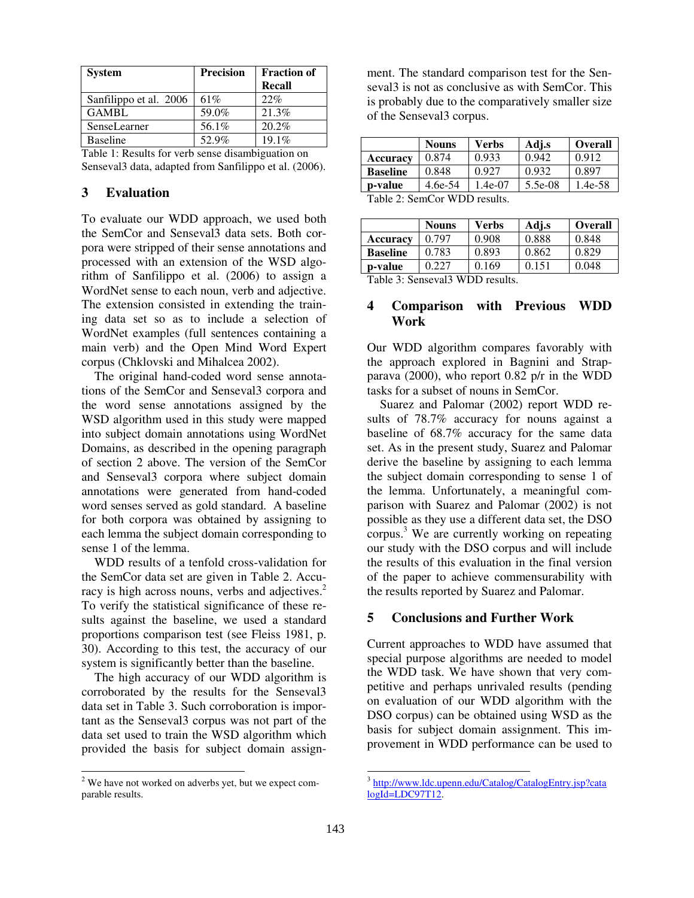| <b>System</b>          | <b>Precision</b> | <b>Fraction of</b> |
|------------------------|------------------|--------------------|
|                        |                  | Recall             |
| Sanfilippo et al. 2006 | 61%              | 22%                |
| <b>GAMBL</b>           | 59.0%            | 21.3%              |
| SenseLearner           | 56.1%            | 20.2%              |
| <b>Baseline</b>        | 52.9%            | $19.1\%$           |

Table 1: Results for verb sense disambiguation on Senseval3 data, adapted from Sanfilippo et al. (2006).

## **3 Evaluation**

To evaluate our WDD approach, we used both the SemCor and Senseval3 data sets. Both corpora were stripped of their sense annotations and processed with an extension of the WSD algorithm of Sanfilippo et al. (2006) to assign a WordNet sense to each noun, verb and adjective. The extension consisted in extending the training data set so as to include a selection of WordNet examples (full sentences containing a main verb) and the Open Mind Word Expert corpus (Chklovski and Mihalcea 2002).

The original hand-coded word sense annotations of the SemCor and Senseval3 corpora and the word sense annotations assigned by the WSD algorithm used in this study were mapped into subject domain annotations using WordNet Domains, as described in the opening paragraph of section 2 above. The version of the SemCor and Senseval3 corpora where subject domain annotations were generated from hand-coded word senses served as gold standard. A baseline for both corpora was obtained by assigning to each lemma the subject domain corresponding to sense 1 of the lemma.

WDD results of a tenfold cross-validation for the SemCor data set are given in Table 2. Accuracy is high across nouns, verbs and adjectives.<sup>2</sup> To verify the statistical significance of these results against the baseline, we used a standard proportions comparison test (see Fleiss 1981, p. 30). According to this test, the accuracy of our system is significantly better than the baseline.

The high accuracy of our WDD algorithm is corroborated by the results for the Senseval3 data set in Table 3. Such corroboration is important as the Senseval3 corpus was not part of the data set used to train the WSD algorithm which provided the basis for subject domain assign-

ment. The standard comparison test for the Senseval3 is not as conclusive as with SemCor. This is probably due to the comparatively smaller size of the Senseval3 corpus.

|                 | <b>Nouns</b> | <b>Verbs</b> | Adj.s   | <b>Overall</b> |  |
|-----------------|--------------|--------------|---------|----------------|--|
| Accuracy        | 0.874        | 0.933        | 0.942   | 0.912          |  |
| <b>Baseline</b> | 0.848        | 0.927        | 0.932   | 0.897          |  |
| p-value         | 4.6e-54      | $1.4e-07$    | 5.5e-08 | 1.4e-58        |  |
| T1120C T11      |              |              |         |                |  |

Table 2: SemCor WDD results.

|                                                                                | <b>Nouns</b> | <b>Verbs</b> | Adj.s | <b>Overall</b> |  |
|--------------------------------------------------------------------------------|--------------|--------------|-------|----------------|--|
| <b>Accuracy</b>                                                                | 0.797        | 0.908        | 0.888 | 0.848          |  |
| <b>Baseline</b>                                                                | 0.783        | 0.893        | 0.862 | 0.829          |  |
| p-value                                                                        | 0.227        | 0.169        | 0.151 | 0.048          |  |
| $T_{\rm eff}$ 1.1. 2. $\Omega_{\rm F}$ = $\Omega_{\rm F}$ WDD $\Omega_{\rm F}$ |              |              |       |                |  |

Table 3: Senseval3 WDD results.

### **4 Comparison with Previous WDD Work**

Our WDD algorithm compares favorably with the approach explored in Bagnini and Strapparava (2000), who report 0.82 p/r in the WDD tasks for a subset of nouns in SemCor.

Suarez and Palomar (2002) report WDD results of 78.7% accuracy for nouns against a baseline of 68.7% accuracy for the same data set. As in the present study, Suarez and Palomar derive the baseline by assigning to each lemma the subject domain corresponding to sense 1 of the lemma. Unfortunately, a meaningful comparison with Suarez and Palomar (2002) is not possible as they use a different data set, the DSO corpus.<sup>3</sup> We are currently working on repeating our study with the DSO corpus and will include the results of this evaluation in the final version of the paper to achieve commensurability with the results reported by Suarez and Palomar.

### **5 Conclusions and Further Work**

Current approaches to WDD have assumed that special purpose algorithms are needed to model the WDD task. We have shown that very competitive and perhaps unrivaled results (pending on evaluation of our WDD algorithm with the DSO corpus) can be obtained using WSD as the basis for subject domain assignment. This improvement in WDD performance can be used to

<sup>&</sup>lt;sup>2</sup> We have not worked on adverbs yet, but we expect comparable results.

<sup>&</sup>lt;sup>3</sup> http://www.ldc.upenn.edu/Catalog/CatalogEntry.jsp?cata logId=LDC97T12.